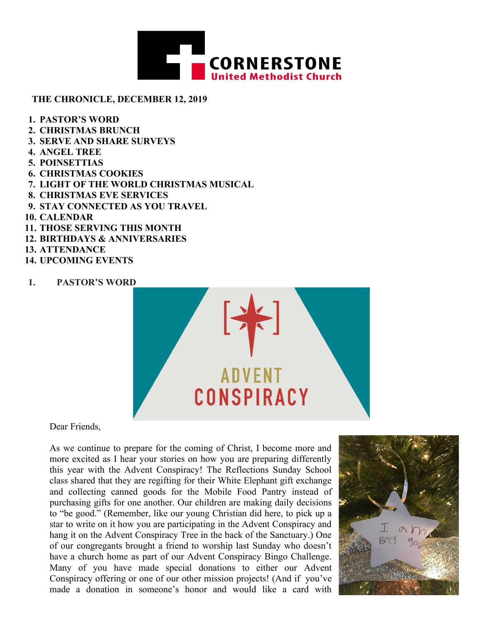

#### **THE CHRONICLE, DECEMBER 12, 2019**

- **1. PASTOR'S WORD**
- **2. CHRISTMAS BRUNCH**
- **3. SERVE AND SHARE SURVEYS**
- **4. ANGEL TREE**
- **5. POINSETTIAS**
- **6. CHRISTMAS COOKIES**
- **7. LIGHT OF THE WORLD CHRISTMAS MUSICAL**
- **8. CHRISTMAS EVE SERVICES**
- **9. STAY CONNECTED AS YOU TRAVEL**
- **10. CALENDAR**
- **11. THOSE SERVING THIS MONTH**
- **12. BIRTHDAYS & ANNIVERSARIES**
- **13. ATTENDANCE**
- **14. UPCOMING EVENTS**
- 1. **PASTOR'S WORD**



Dear Friends,

As we continue to prepare for the coming of Christ, I become more and more excited as I hear your stories on how you are preparing differently this year with the Advent Conspiracy! The Reflections Sunday School class shared that they are regifting for their White Elephant gift exchange and collecting canned goods for the Mobile Food Pantry instead of purchasing gifts for one another. Our children are making daily decisions to "be good." (Remember, like our young Christian did here, to pick up a star to write on it how you are participating in the Advent Conspiracy and hang it on the Advent Conspiracy Tree in the back of the Sanctuary.) One of our congregants brought a friend to worship last Sunday who doesn't have a church home as part of our Advent Conspiracy Bingo Challenge. Many of you have made special donations to either our Advent Conspiracy offering or one of our other mission projects! (And if you've made a donation in someone's honor and would like a card with

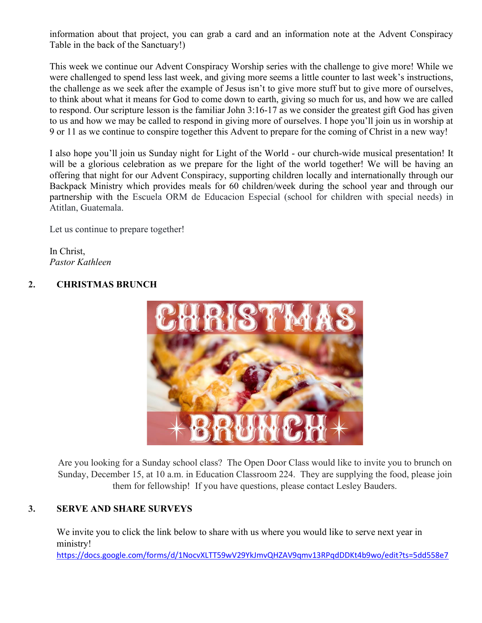information about that project, you can grab a card and an information note at the Advent Conspiracy Table in the back of the Sanctuary!)

This week we continue our Advent Conspiracy Worship series with the challenge to give more! While we were challenged to spend less last week, and giving more seems a little counter to last week's instructions, the challenge as we seek after the example of Jesus isn't to give more stuff but to give more of ourselves, to think about what it means for God to come down to earth, giving so much for us, and how we are called to respond. Our scripture lesson is the familiar John 3:16-17 as we consider the greatest gift God has given to us and how we may be called to respond in giving more of ourselves. I hope you'll join us in worship at 9 or 11 as we continue to conspire together this Advent to prepare for the coming of Christ in a new way!

I also hope you'll join us Sunday night for Light of the World - our church-wide musical presentation! It will be a glorious celebration as we prepare for the light of the world together! We will be having an offering that night for our Advent Conspiracy, supporting children locally and internationally through our Backpack Ministry which provides meals for 60 children/week during the school year and through our partnership with the Escuela ORM de Educacion Especial (school for children with special needs) in Atitlan, Guatemala.

Let us continue to prepare together!

In Christ, *Pastor Kathleen*

### **2. CHRISTMAS BRUNCH**



Are you looking for a Sunday school class? The Open Door Class would like to invite you to brunch on Sunday, December 15, at 10 a.m. in Education Classroom 224. They are supplying the food, please join them for fellowship! If you have questions, please contact Lesley Bauders.

### **3. SERVE AND SHARE SURVEYS**

We invite you to click the link below to share with us where you would like to serve next year in ministry!

https://docs.google.com/forms/d/1NocvXLTT59wV29YkJmvQHZAV9qmv13RPqdDDKt4b9wo/edit?ts=5dd558e7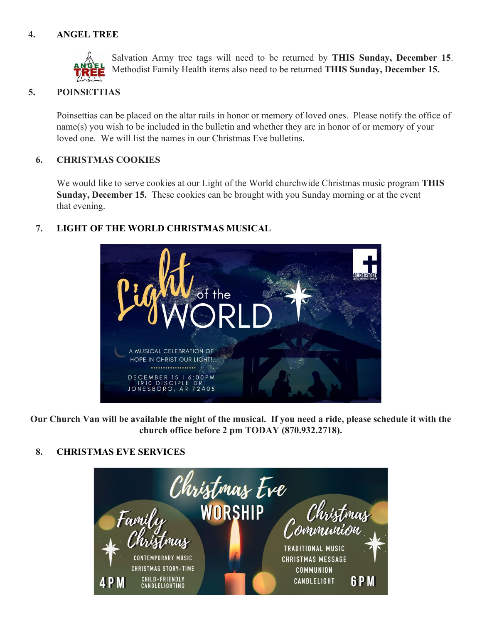# **4. ANGEL TREE**



Salvation Army tree tags will need to be returned by **THIS Sunday, December 15**. Methodist Family Health items also need to be returned **THIS Sunday, December 15.**

### **5. POINSETTIAS**

Poinsettias can be placed on the altar rails in honor or memory of loved ones. Please notify the office of name(s) you wish to be included in the bulletin and whether they are in honor of or memory of your loved one. We will list the names in our Christmas Eve bulletins.

#### **6. CHRISTMAS COOKIES**

We would like to serve cookies at our Light of the World churchwide Christmas music program **THIS Sunday, December 15.** These cookies can be brought with you Sunday morning or at the event that evening.

### **7. LIGHT OF THE WORLD CHRISTMAS MUSICAL**



**Our Church Van will be available the night of the musical. If you need a ride, please schedule it with the church office before 2 pm TODAY (870.932.2718).** 

### **8. CHRISTMAS EVE SERVICES**

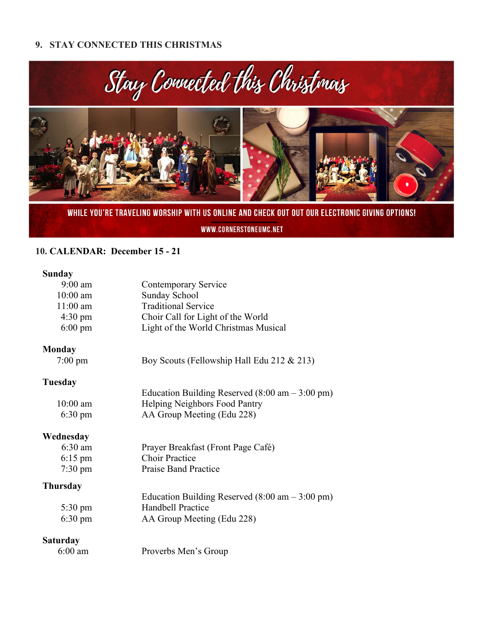### **9. STAY CONNECTED THIS CHRISTMAS**



WHILE YOU'RE TRAVELING WORSHIP WITH US ONLINE AND CHECK OUT OUT OUR ELECTRONIC GIVING OPTIONS!

WWW.CORNERSTONEUMC.NET

### **10. CALENDAR: December 15 - 21**

# **Sunday**

| $9:00$ am         | Contemporary Service                                              |  |  |
|-------------------|-------------------------------------------------------------------|--|--|
| 10:00 am          | Sunday School                                                     |  |  |
| $11:00$ am        | <b>Traditional Service</b>                                        |  |  |
| $4:30 \text{ pm}$ | Choir Call for Light of the World                                 |  |  |
| $6:00 \text{ pm}$ | Light of the World Christmas Musical                              |  |  |
| Monday            |                                                                   |  |  |
| $7:00 \text{ pm}$ | Boy Scouts (Fellowship Hall Edu 212 & 213)                        |  |  |
| Tuesday           |                                                                   |  |  |
|                   | Education Building Reserved $(8:00 \text{ am} - 3:00 \text{ pm})$ |  |  |
| $10:00$ am        | Helping Neighbors Food Pantry                                     |  |  |
| $6:30 \text{ pm}$ | AA Group Meeting (Edu 228)                                        |  |  |
| Wednesday         |                                                                   |  |  |
| 6:30 am           | Prayer Breakfast (Front Page Café)                                |  |  |
| $6:15 \text{ pm}$ | <b>Choir Practice</b>                                             |  |  |
| $7:30 \text{ pm}$ | <b>Praise Band Practice</b>                                       |  |  |
| Thursday          |                                                                   |  |  |
|                   | Education Building Reserved $(8.00 \text{ am} - 3.00 \text{ pm})$ |  |  |
| $5:30 \text{ pm}$ | <b>Handbell Practice</b>                                          |  |  |
| $6:30 \text{ pm}$ | AA Group Meeting (Edu 228)                                        |  |  |
| Saturday          |                                                                   |  |  |
| $6:00$ am         | Proverbs Men's Group                                              |  |  |
|                   |                                                                   |  |  |